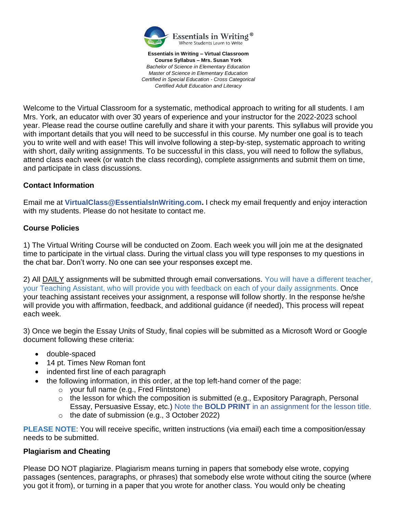

**Essentials in Writing – Virtual Classroom Course Syllabus – Mrs. Susan York** *Bachelor of Science in Elementary Education Master of Science in Elementary Education Certified in Special Education - Cross Categorical Certified Adult Education and Literacy*

Welcome to the Virtual Classroom for a systematic, methodical approach to writing for all students. I am Mrs. York, an educator with over 30 years of experience and your instructor for the 2022-2023 school year. Please read the course outline carefully and share it with your parents. This syllabus will provide you with important details that you will need to be successful in this course. My number one goal is to teach you to write well and with ease! This will involve following a step-by-step, systematic approach to writing with short, daily writing assignments. To be successful in this class, you will need to follow the syllabus, attend class each week (or watch the class recording), complete assignments and submit them on time, and participate in class discussions.

#### **Contact Information**

Email me at **VirtualClass@EssentialsInWriting.com.** I check my email frequently and enjoy interaction with my students. Please do not hesitate to contact me.

#### **Course Policies**

1) The Virtual Writing Course will be conducted on Zoom. Each week you will join me at the designated time to participate in the virtual class. During the virtual class you will type responses to my questions in the chat bar. Don't worry. No one can see your responses except me.

2) All DAILY assignments will be submitted through email conversations. You will have a different teacher, your Teaching Assistant, who will provide you with feedback on each of your daily assignments. Once your teaching assistant receives your assignment, a response will follow shortly. In the response he/she will provide you with affirmation, feedback, and additional guidance (if needed), This process will repeat each week.

3) Once we begin the Essay Units of Study, final copies will be submitted as a Microsoft Word or Google document following these criteria:

- double-spaced
- 14 pt. Times New Roman font
- indented first line of each paragraph
	- the following information, in this order, at the top left-hand corner of the page:
		- o your full name (e.g., Fred Flintstone)
		- $\circ$  the lesson for which the composition is submitted (e.g., Expository Paragraph, Personal Essay, Persuasive Essay, etc.) Note the **BOLD PRINT** in an assignment for the lesson title.
		- o the date of submission (e.g., 3 October 2022)

**PLEASE NOTE**: You will receive specific, written instructions (via email) each time a composition/essay needs to be submitted.

#### **Plagiarism and Cheating**

Please DO NOT plagiarize. Plagiarism means turning in papers that somebody else wrote, copying passages (sentences, paragraphs, or phrases) that somebody else wrote without citing the source (where you got it from), or turning in a paper that you wrote for another class. You would only be cheating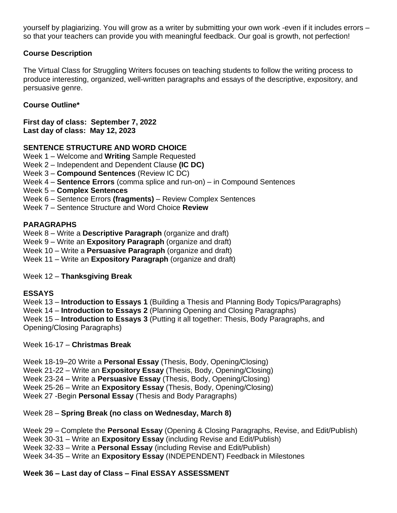yourself by plagiarizing. You will grow as a writer by submitting your own work -even if it includes errors – so that your teachers can provide you with meaningful feedback. Our goal is growth, not perfection!

# **Course Description**

The Virtual Class for Struggling Writers focuses on teaching students to follow the writing process to produce interesting, organized, well-written paragraphs and essays of the descriptive, expository, and persuasive genre.

# **Course Outline\***

**First day of class: September 7, 2022 Last day of class: May 12, 2023**

# **SENTENCE STRUCTURE AND WORD CHOICE**

- Week 1 Welcome and **Writing** Sample Requested
- Week 2 Independent and Dependent Clause **(IC DC)**
- Week 3 **Compound Sentences** (Review IC DC)
- Week 4 **Sentence Errors** (comma splice and run-on) in Compound Sentences
- Week 5 **Complex Sentences**
- Week 6 Sentence Errors **(fragments)**  Review Complex Sentences
- Week 7 Sentence Structure and Word Choice **Review**

### **PARAGRAPHS**

Week 8 – Write a **Descriptive Paragraph** (organize and draft)

Week 9 – Write an **Expository Paragraph** (organize and draft)

- Week 10 Write a **Persuasive Paragraph** (organize and draft)
- Week 11 Write an **Expository Paragraph** (organize and draft)

Week 12 – **Thanksgiving Break**

### **ESSAYS**

Week 13 – **Introduction to Essays 1** (Building a Thesis and Planning Body Topics/Paragraphs)

Week 14 – **Introduction to Essays 2** (Planning Opening and Closing Paragraphs)

Week 15 – **Introduction to Essays 3** (Putting it all together: Thesis, Body Paragraphs, and Opening/Closing Paragraphs)

Week 16-17 – **Christmas Break**

Week 18-19–20 Write a **Personal Essay** (Thesis, Body, Opening/Closing)

Week 21-22 – Write an **Expository Essay** (Thesis, Body, Opening/Closing)

Week 23-24 – Write a **Persuasive Essay** (Thesis, Body, Opening/Closing)

Week 25-26 – Write an **Expository Essay** (Thesis, Body, Opening/Closing)

Week 27 -Begin **Personal Essay** (Thesis and Body Paragraphs)

### Week 28 – **Spring Break (no class on Wednesday, March 8)**

Week 29 – Complete the **Personal Essay** (Opening & Closing Paragraphs, Revise, and Edit/Publish)

Week 30-31 – Write an **Expository Essay** (including Revise and Edit/Publish)

Week 32-33 – Write a **Personal Essay** (including Revise and Edit/Publish)

Week 34-35 – Write an **Expository Essay** (INDEPENDENT) Feedback in Milestones

# **Week 36 – Last day of Class – Final ESSAY ASSESSMENT**